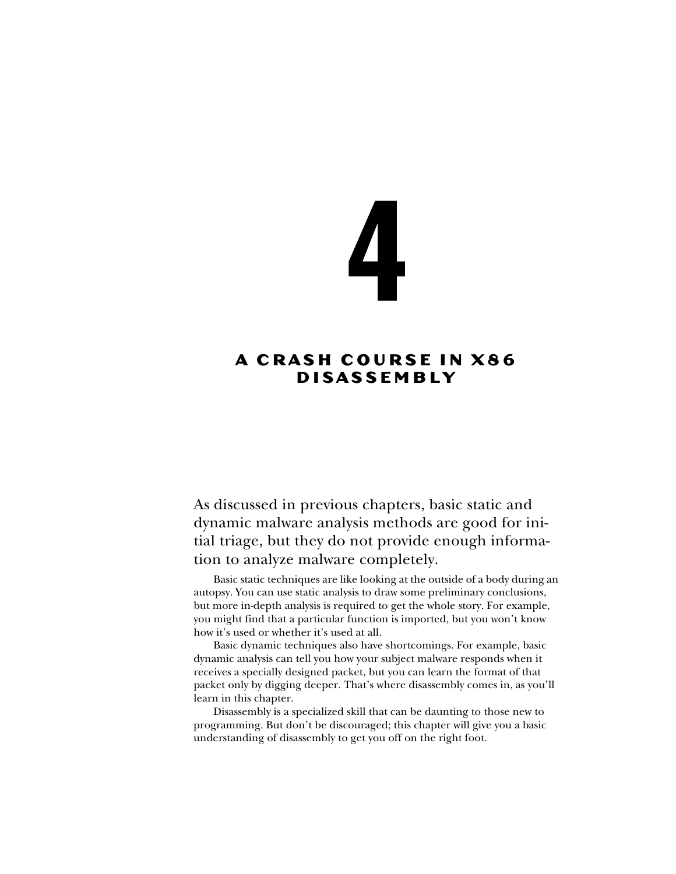# 4

# **A CRASH COURSE IN X86 DISASSEMBLY**

As discussed in previous chapters, basic static and dynamic malware analysis methods are good for initial triage, but they do not provide enough information to analyze malware completely.

Basic static techniques are like looking at the outside of a body during an autopsy. You can use static analysis to draw some preliminary conclusions, but more in-depth analysis is required to get the whole story. For example, you might find that a particular function is imported, but you won't know how it's used or whether it's used at all.

Basic dynamic techniques also have shortcomings. For example, basic dynamic analysis can tell you how your subject malware responds when it receives a specially designed packet, but you can learn the format of that packet only by digging deeper. That's where disassembly comes in, as you'll learn in this chapter.

Disassembly is a specialized skill that can be daunting to those new to programming. But don't be discouraged; this chapter will give you a basic understanding of disassembly to get you off on the right foot.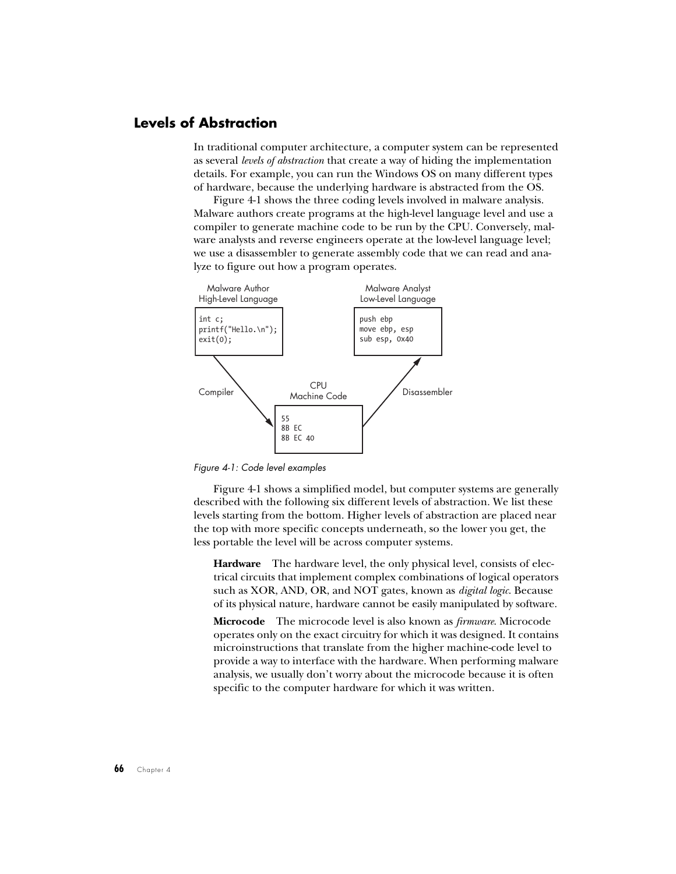# **Levels of Abstraction**

In traditional computer architecture, a computer system can be represented as several *levels of abstraction* that create a way of hiding the implementation details. For example, you can run the Windows OS on many different types of hardware, because the underlying hardware is abstracted from the OS.

Figure 4-1 shows the three coding levels involved in malware analysis. Malware authors create programs at the high-level language level and use a compiler to generate machine code to be run by the CPU. Conversely, malware analysts and reverse engineers operate at the low-level language level; we use a disassembler to generate assembly code that we can read and analyze to figure out how a program operates.



*Figure 4-1: Code level examples*

Figure 4-1 shows a simplified model, but computer systems are generally described with the following six different levels of abstraction. We list these levels starting from the bottom. Higher levels of abstraction are placed near the top with more specific concepts underneath, so the lower you get, the less portable the level will be across computer systems.

**Hardware** The hardware level, the only physical level, consists of electrical circuits that implement complex combinations of logical operators such as XOR, AND, OR, and NOT gates, known as *digital logic*. Because of its physical nature, hardware cannot be easily manipulated by software.

**Microcode** The microcode level is also known as *firmware*. Microcode operates only on the exact circuitry for which it was designed. It contains microinstructions that translate from the higher machine-code level to provide a way to interface with the hardware. When performing malware analysis, we usually don't worry about the microcode because it is often specific to the computer hardware for which it was written.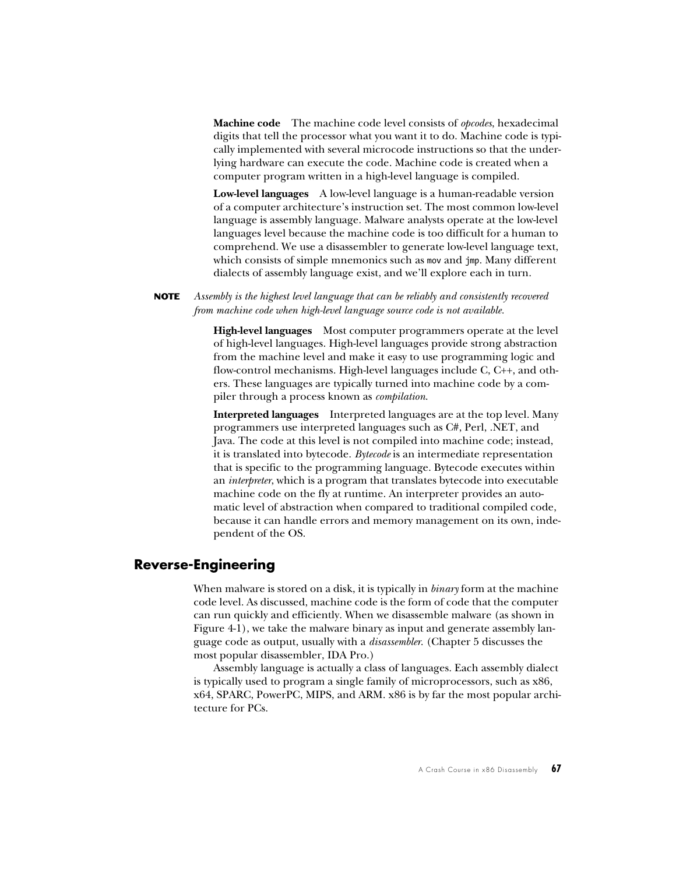**Machine code** The machine code level consists of *opcodes*, hexadecimal digits that tell the processor what you want it to do. Machine code is typically implemented with several microcode instructions so that the underlying hardware can execute the code. Machine code is created when a computer program written in a high-level language is compiled.

**Low-level languages** A low-level language is a human-readable version of a computer architecture's instruction set. The most common low-level language is assembly language. Malware analysts operate at the low-level languages level because the machine code is too difficult for a human to comprehend. We use a disassembler to generate low-level language text, which consists of simple mnemonics such as mov and jmp. Many different dialects of assembly language exist, and we'll explore each in turn.

#### **NOTE** *Assembly is the highest level language that can be reliably and consistently recovered from machine code when high-level language source code is not available.*

**High-level languages** Most computer programmers operate at the level of high-level languages. High-level languages provide strong abstraction from the machine level and make it easy to use programming logic and flow-control mechanisms. High-level languages include C, C++, and others. These languages are typically turned into machine code by a compiler through a process known as *compilation*.

**Interpreted languages** Interpreted languages are at the top level. Many programmers use interpreted languages such as C#, Perl, .NET, and Java. The code at this level is not compiled into machine code; instead, it is translated into bytecode. *Bytecode* is an intermediate representation that is specific to the programming language. Bytecode executes within an *interpreter*, which is a program that translates bytecode into executable machine code on the fly at runtime. An interpreter provides an automatic level of abstraction when compared to traditional compiled code, because it can handle errors and memory management on its own, independent of the OS.

## **Reverse-Engineering**

When malware is stored on a disk, it is typically in *binary* form at the machine code level. As discussed, machine code is the form of code that the computer can run quickly and efficiently. When we disassemble malware (as shown in Figure 4-1), we take the malware binary as input and generate assembly language code as output, usually with a *disassembler*. (Chapter 5 discusses the most popular disassembler, IDA Pro.)

Assembly language is actually a class of languages. Each assembly dialect is typically used to program a single family of microprocessors, such as x86, x64, SPARC, PowerPC, MIPS, and ARM. x86 is by far the most popular architecture for PCs.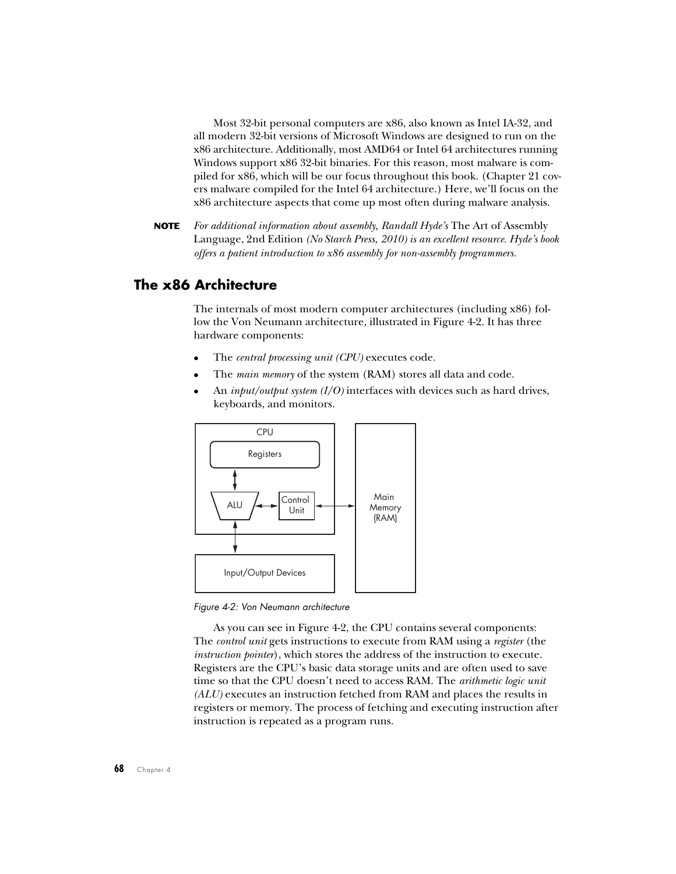Most 32-bit personal computers are x86, also known as Intel IA-32, and all modern 32-bit versions of Microsoft Windows are designed to run on the x86 architecture. Additionally, most AMD64 or Intel 64 architectures running Windows support x86 32-bit binaries. For this reason, most malware is compiled for x86, which will be our focus throughout this book. (Chapter 21 covers malware compiled for the Intel 64 architecture.) Here, we'll focus on the x86 architecture aspects that come up most often during malware analysis.

**NOTE** *For additional information about assembly, Randall Hyde's* The Art of Assembly Language, 2nd Edition *(No Starch Press, 2010) is an excellent resource. Hyde's book offers a patient introduction to x86 assembly for non-assembly programmers.*

# **The x86 Architecture**

The internals of most modern computer architectures (including x86) follow the Von Neumann architecture, illustrated in Figure 4-2. It has three hardware components:

- The *central processing unit (CPU)* executes code.
- The *main memory* of the system (RAM) stores all data and code.
- An *input/output system (I/O)* interfaces with devices such as hard drives, keyboards, and monitors.



*Figure 4-2: Von Neumann architecture*

As you can see in Figure 4-2, the CPU contains several components: The *control unit* gets instructions to execute from RAM using a *register* (the *instruction pointer*), which stores the address of the instruction to execute. Registers are the CPU's basic data storage units and are often used to save time so that the CPU doesn't need to access RAM. The *arithmetic logic unit (ALU)* executes an instruction fetched from RAM and places the results in registers or memory. The process of fetching and executing instruction after instruction is repeated as a program runs.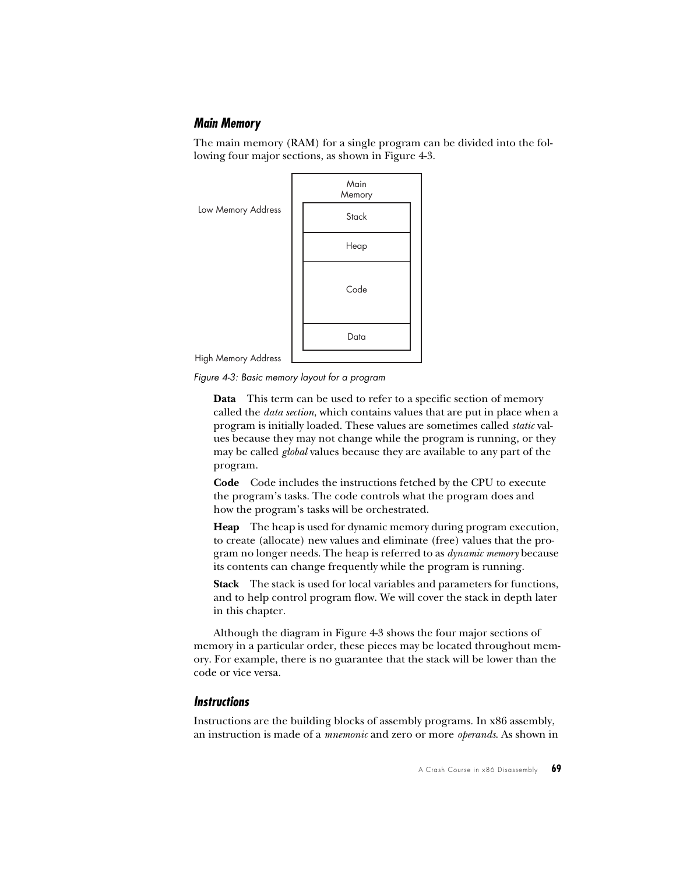## *Main Memory*

The main memory (RAM) for a single program can be divided into the following four major sections, as shown in Figure 4-3.



*Figure 4-3: Basic memory layout for a program*

**Data** This term can be used to refer to a specific section of memory called the *data section*, which contains values that are put in place when a program is initially loaded. These values are sometimes called *static* values because they may not change while the program is running, or they may be called *global* values because they are available to any part of the program.

**Code** Code includes the instructions fetched by the CPU to execute the program's tasks. The code controls what the program does and how the program's tasks will be orchestrated.

**Heap** The heap is used for dynamic memory during program execution, to create (allocate) new values and eliminate (free) values that the program no longer needs. The heap is referred to as *dynamic memory* because its contents can change frequently while the program is running.

**Stack** The stack is used for local variables and parameters for functions, and to help control program flow. We will cover the stack in depth later in this chapter.

Although the diagram in Figure 4-3 shows the four major sections of memory in a particular order, these pieces may be located throughout memory. For example, there is no guarantee that the stack will be lower than the code or vice versa.

## *Instructions*

Instructions are the building blocks of assembly programs. In x86 assembly, an instruction is made of a *mnemonic* and zero or more *operands*. As shown in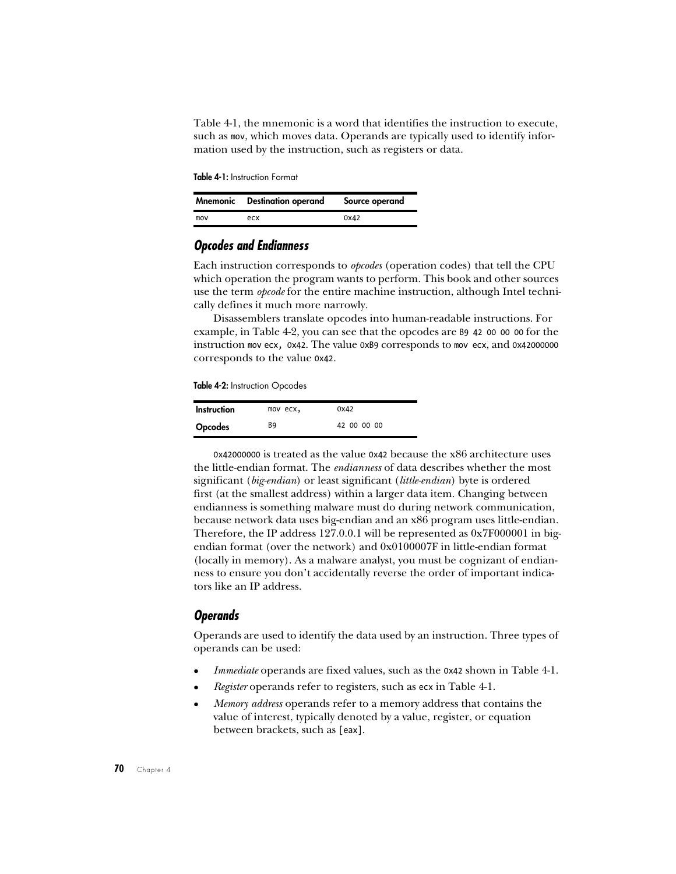Table 4-1, the mnemonic is a word that identifies the instruction to execute, such as mov, which moves data. Operands are typically used to identify information used by the instruction, such as registers or data.

**Table 4-1:** Instruction Format

|     | <b>Mnemonic</b> Destination operand | Source operand |
|-----|-------------------------------------|----------------|
| mov | ecx                                 | 0x42           |

## *Opcodes and Endianness*

Each instruction corresponds to *opcodes* (operation codes) that tell the CPU which operation the program wants to perform. This book and other sources use the term *opcode* for the entire machine instruction, although Intel technically defines it much more narrowly.

Disassemblers translate opcodes into human-readable instructions. For example, in Table 4-2, you can see that the opcodes are B9 42 00 00 00 for the instruction mov ecx, 0x42. The value 0xB9 corresponds to mov ecx, and 0x42000000 corresponds to the value 0x42.

**Table 4-2:** Instruction Opcodes

| Instruction    | mov ecx, | 0x42        |
|----------------|----------|-------------|
| <b>Opcodes</b> | B9       | 42 00 00 00 |

0x42000000 is treated as the value 0x42 because the x86 architecture uses the little-endian format. The *endianness* of data describes whether the most significant (*big-endian*) or least significant (*little-endian*) byte is ordered first (at the smallest address) within a larger data item. Changing between endianness is something malware must do during network communication, because network data uses big-endian and an x86 program uses little-endian. Therefore, the IP address 127.0.0.1 will be represented as 0x7F000001 in bigendian format (over the network) and 0x0100007F in little-endian format (locally in memory). As a malware analyst, you must be cognizant of endianness to ensure you don't accidentally reverse the order of important indicators like an IP address.

## *Operands*

Operands are used to identify the data used by an instruction. Three types of operands can be used:

- *Immediate* operands are fixed values, such as the  $0 \times 42$  shown in Table 4-1.
- *Register* operands refer to registers, such as ecx in Table 4-1.
- *Memory address* operands refer to a memory address that contains the value of interest, typically denoted by a value, register, or equation between brackets, such as [eax].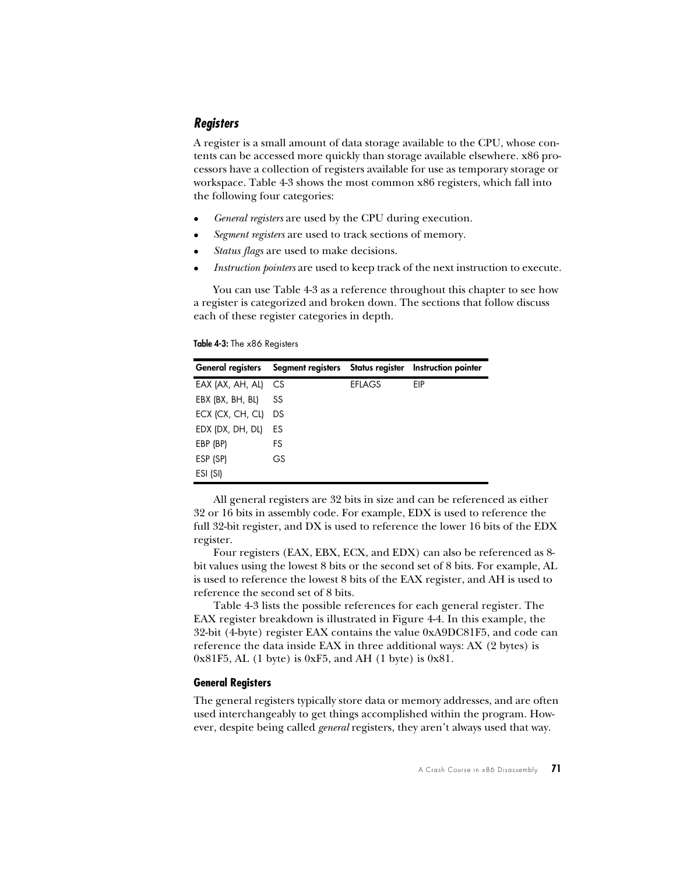## *Registers*

A register is a small amount of data storage available to the CPU, whose contents can be accessed more quickly than storage available elsewhere. x86 processors have a collection of registers available for use as temporary storage or workspace. Table 4-3 shows the most common x86 registers, which fall into the following four categories:

- *General registers* are used by the CPU during execution.
- *Segment registers* are used to track sections of memory.
- *Status flags* are used to make decisions.
- *Instruction pointers* are used to keep track of the next instruction to execute.

You can use Table 4-3 as a reference throughout this chapter to see how a register is categorized and broken down. The sections that follow discuss each of these register categories in depth.

**Table 4-3:** The x86 Registers

| <b>General registers</b> | Segment registers | Status register | Instruction pointer |
|--------------------------|-------------------|-----------------|---------------------|
| EAX (AX, AH, AL)         | CS                | <b>EFLAGS</b>   | EIP                 |
| EBX (BX, BH, BL)         | SS                |                 |                     |
| ECX (CX, CH, CL)         | DS                |                 |                     |
| EDX (DX, DH, DL)         | ES                |                 |                     |
| EBP (BP)                 | FS                |                 |                     |
| ESP (SP)                 | GS                |                 |                     |
| ESI (SI)                 |                   |                 |                     |

All general registers are 32 bits in size and can be referenced as either 32 or 16 bits in assembly code. For example, EDX is used to reference the full 32-bit register, and DX is used to reference the lower 16 bits of the EDX register.

Four registers (EAX, EBX, ECX, and EDX) can also be referenced as 8 bit values using the lowest 8 bits or the second set of 8 bits. For example, AL is used to reference the lowest 8 bits of the EAX register, and AH is used to reference the second set of 8 bits.

Table 4-3 lists the possible references for each general register. The EAX register breakdown is illustrated in Figure 4-4. In this example, the 32-bit (4-byte) register EAX contains the value 0xA9DC81F5, and code can reference the data inside EAX in three additional ways: AX (2 bytes) is  $0x81F5$ , AL (1 byte) is  $0xF5$ , and AH (1 byte) is  $0x81$ .

#### **General Registers**

The general registers typically store data or memory addresses, and are often used interchangeably to get things accomplished within the program. However, despite being called *general* registers, they aren't always used that way.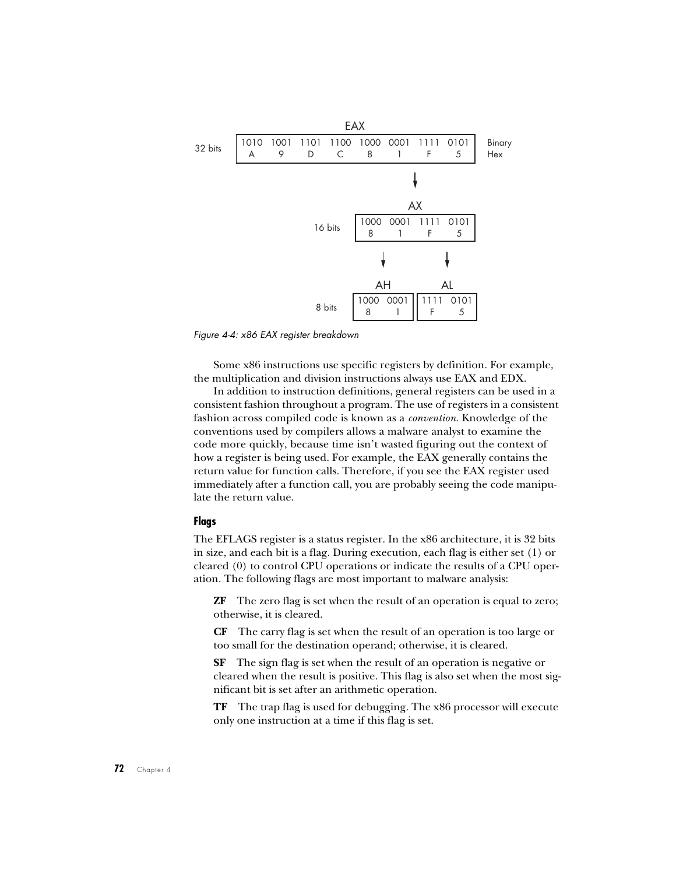

*Figure 4-4: x86 EAX register breakdown*

Some x86 instructions use specific registers by definition. For example, the multiplication and division instructions always use EAX and EDX.

In addition to instruction definitions, general registers can be used in a consistent fashion throughout a program. The use of registers in a consistent fashion across compiled code is known as a *convention*. Knowledge of the conventions used by compilers allows a malware analyst to examine the code more quickly, because time isn't wasted figuring out the context of how a register is being used. For example, the EAX generally contains the return value for function calls. Therefore, if you see the EAX register used immediately after a function call, you are probably seeing the code manipulate the return value.

### **Flags**

The EFLAGS register is a status register. In the x86 architecture, it is 32 bits in size, and each bit is a flag. During execution, each flag is either set (1) or cleared (0) to control CPU operations or indicate the results of a CPU operation. The following flags are most important to malware analysis:

**ZF** The zero flag is set when the result of an operation is equal to zero; otherwise, it is cleared.

**CF** The carry flag is set when the result of an operation is too large or too small for the destination operand; otherwise, it is cleared.

**SF** The sign flag is set when the result of an operation is negative or cleared when the result is positive. This flag is also set when the most significant bit is set after an arithmetic operation.

**TF** The trap flag is used for debugging. The x86 processor will execute only one instruction at a time if this flag is set.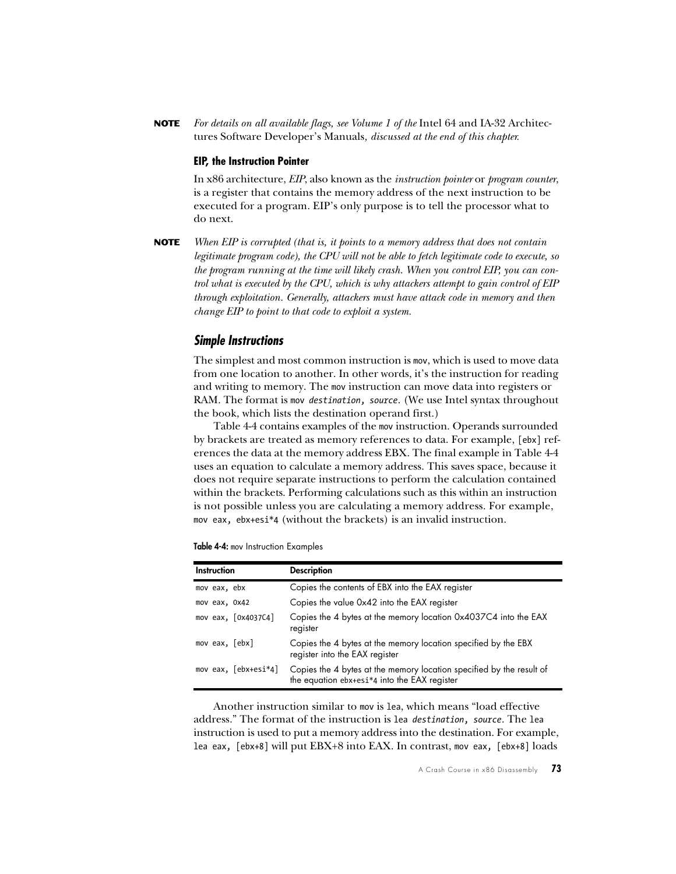**NOTE** *For details on all available flags, see Volume 1 of the* Intel 64 and IA-32 Architectures Software Developer's Manuals*, discussed at the end of this chapter.*

#### **EIP, the Instruction Pointer**

In x86 architecture, *EIP*, also known as the *instruction pointer* or *program counter*, is a register that contains the memory address of the next instruction to be executed for a program. EIP's only purpose is to tell the processor what to do next.

**NOTE** *When EIP is corrupted (that is, it points to a memory address that does not contain legitimate program code), the CPU will not be able to fetch legitimate code to execute, so the program running at the time will likely crash. When you control EIP, you can control what is executed by the CPU, which is why attackers attempt to gain control of EIP through exploitation. Generally, attackers must have attack code in memory and then change EIP to point to that code to exploit a system.*

## *Simple Instructions*

The simplest and most common instruction is mov, which is used to move data from one location to another. In other words, it's the instruction for reading and writing to memory. The mov instruction can move data into registers or RAM. The format is mov *destination*, *source*. (We use Intel syntax throughout the book, which lists the destination operand first.)

Table 4-4 contains examples of the mov instruction. Operands surrounded by brackets are treated as memory references to data. For example, [ebx] references the data at the memory address EBX. The final example in Table 4-4 uses an equation to calculate a memory address. This saves space, because it does not require separate instructions to perform the calculation contained within the brackets. Performing calculations such as this within an instruction is not possible unless you are calculating a memory address. For example, mov eax, ebx+esi\*4 (without the brackets) is an invalid instruction.

| Instruction                       | <b>Description</b>                                                                                                   |
|-----------------------------------|----------------------------------------------------------------------------------------------------------------------|
| mov eax, ebx                      | Copies the contents of EBX into the EAX register                                                                     |
| mov eax, 0x42                     | Copies the value 0x42 into the EAX register                                                                          |
| mov eax, $\lceil 0x4037C4 \rceil$ | Copies the 4 bytes at the memory location 0x4037C4 into the EAX<br>register                                          |
| mov eax, [ebx]                    | Copies the 4 bytes at the memory location specified by the EBX<br>register into the EAX register                     |
| mov eax, [ebx+esi*4]              | Copies the 4 bytes at the memory location specified by the result of<br>the equation ebx+esi*4 into the EAX register |

**Table 4-4:** mov Instruction Examples

Another instruction similar to mov is lea, which means "load effective address." The format of the instruction is lea *destination*, *source*. The lea instruction is used to put a memory address into the destination. For example, lea eax, [ebx+8] will put EBX+8 into EAX. In contrast, mov eax, [ebx+8] loads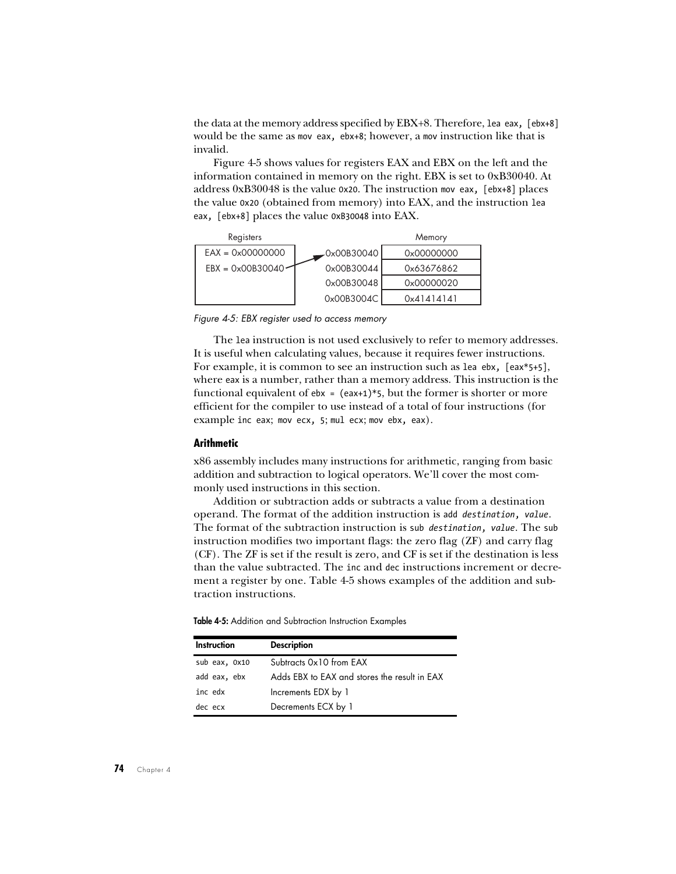the data at the memory address specified by EBX+8. Therefore, lea eax, [ebx+8] would be the same as mov eax, ebx+8; however, a mov instruction like that is invalid.

Figure 4-5 shows values for registers EAX and EBX on the left and the information contained in memory on the right. EBX is set to 0xB30040. At address 0xB30048 is the value 0x20. The instruction mov eax, [ebx+8] places the value 0x20 (obtained from memory) into EAX, and the instruction lea eax, [ebx+8] places the value 0xB30048 into EAX.



*Figure 4-5: EBX register used to access memory*

The lea instruction is not used exclusively to refer to memory addresses. It is useful when calculating values, because it requires fewer instructions. For example, it is common to see an instruction such as lea ebx, [eax\*5+5], where eax is a number, rather than a memory address. This instruction is the functional equivalent of ebx =  $(exx+1)*5$ , but the former is shorter or more efficient for the compiler to use instead of a total of four instructions (for example inc eax; mov ecx, 5; mul ecx; mov ebx, eax).

#### **Arithmetic**

x86 assembly includes many instructions for arithmetic, ranging from basic addition and subtraction to logical operators. We'll cover the most commonly used instructions in this section.

Addition or subtraction adds or subtracts a value from a destination operand. The format of the addition instruction is add *destination*, *value*. The format of the subtraction instruction is sub *destination*, *value*. The sub instruction modifies two important flags: the zero flag (ZF) and carry flag (CF). The ZF is set if the result is zero, and CF is set if the destination is less than the value subtracted. The inc and dec instructions increment or decrement a register by one. Table 4-5 shows examples of the addition and subtraction instructions.

**Table 4-5:** Addition and Subtraction Instruction Examples

| <b>Instruction</b> | <b>Description</b>                           |
|--------------------|----------------------------------------------|
| sub eax, 0x10      | Subtracts 0x10 from EAX                      |
| add eax, ebx       | Adds EBX to EAX and stores the result in EAX |
| inc edx            | Increments EDX by 1                          |
| dec ecx            | Decrements ECX by 1                          |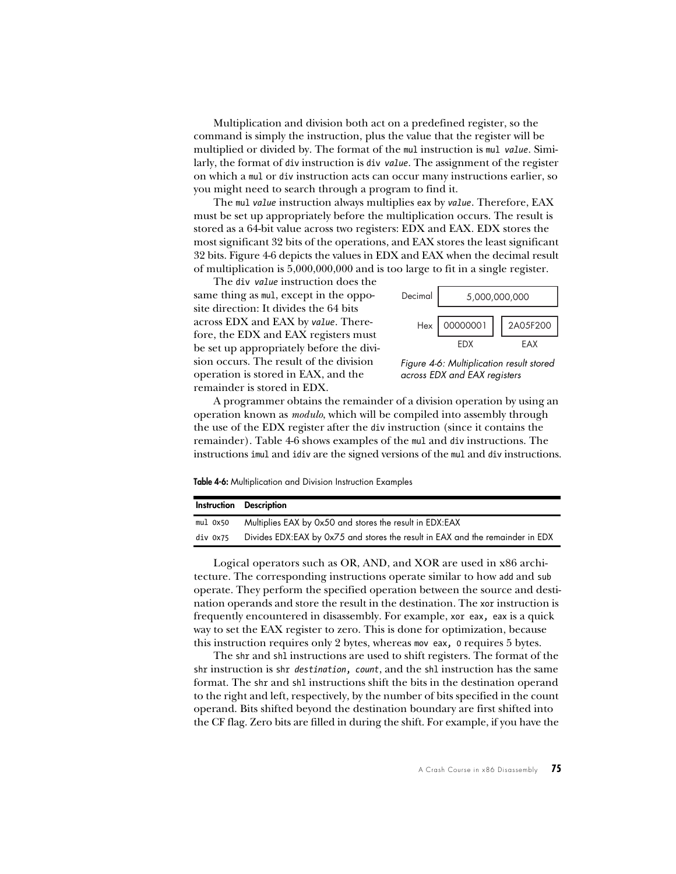Multiplication and division both act on a predefined register, so the command is simply the instruction, plus the value that the register will be multiplied or divided by. The format of the mul instruction is mul *value*. Similarly, the format of div instruction is div *value*. The assignment of the register on which a mul or div instruction acts can occur many instructions earlier, so you might need to search through a program to find it.

The mul *value* instruction always multiplies eax by *value*. Therefore, EAX must be set up appropriately before the multiplication occurs. The result is stored as a 64-bit value across two registers: EDX and EAX. EDX stores the most significant 32 bits of the operations, and EAX stores the least significant 32 bits. Figure 4-6 depicts the values in EDX and EAX when the decimal result of multiplication is 5,000,000,000 and is too large to fit in a single register.

The div *value* instruction does the same thing as mul, except in the opposite direction: It divides the 64 bits across EDX and EAX by *value*. Therefore, the EDX and EAX registers must be set up appropriately before the division occurs. The result of the division operation is stored in EAX, and the remainder is stored in EDX.



*Figure 4-6: Multiplication result stored across EDX and EAX registers*

A programmer obtains the remainder of a division operation by using an operation known as *modulo*, which will be compiled into assembly through the use of the EDX register after the div instruction (since it contains the remainder). Table 4-6 shows examples of the mul and div instructions. The instructions imul and idiv are the signed versions of the mul and div instructions.

**Table 4-6:** Multiplication and Division Instruction Examples

|          | Instruction Description                                                        |
|----------|--------------------------------------------------------------------------------|
| mul Ox50 | Multiplies EAX by 0x50 and stores the result in EDX:EAX                        |
| div Ox75 | Divides EDX: EAX by 0x75 and stores the result in EAX and the remainder in EDX |

Logical operators such as OR, AND, and XOR are used in x86 architecture. The corresponding instructions operate similar to how add and sub operate. They perform the specified operation between the source and destination operands and store the result in the destination. The xor instruction is frequently encountered in disassembly. For example, xor eax, eax is a quick way to set the EAX register to zero. This is done for optimization, because this instruction requires only 2 bytes, whereas mov eax, 0 requires 5 bytes.

The shr and shl instructions are used to shift registers. The format of the shr instruction is shr *destination*, *count*, and the shl instruction has the same format. The shr and shl instructions shift the bits in the destination operand to the right and left, respectively, by the number of bits specified in the count operand. Bits shifted beyond the destination boundary are first shifted into the CF flag. Zero bits are filled in during the shift. For example, if you have the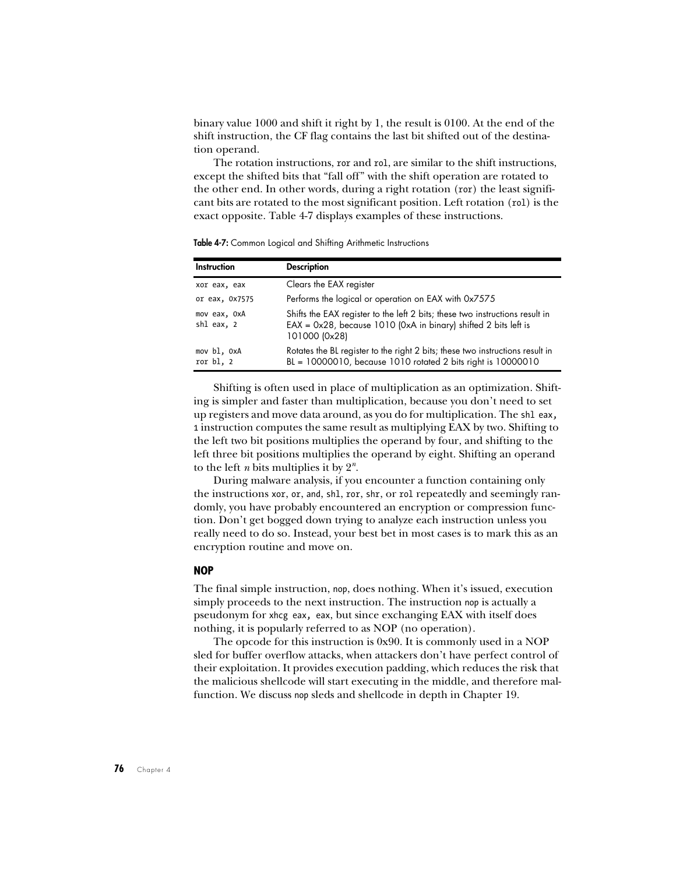binary value 1000 and shift it right by 1, the result is 0100. At the end of the shift instruction, the CF flag contains the last bit shifted out of the destination operand.

The rotation instructions, ror and rol, are similar to the shift instructions, except the shifted bits that "fall off" with the shift operation are rotated to the other end. In other words, during a right rotation (ror) the least significant bits are rotated to the most significant position. Left rotation (rol) is the exact opposite. Table 4-7 displays examples of these instructions.

| <b>Instruction</b>         | <b>Description</b>                                                                                                                                                  |
|----------------------------|---------------------------------------------------------------------------------------------------------------------------------------------------------------------|
| xor eax, eax               | Clears the EAX register                                                                                                                                             |
| or eax, 0x7575             | Performs the logical or operation on EAX with 0x7575                                                                                                                |
| mov eax, OxA<br>shl eax, 2 | Shifts the EAX register to the left 2 bits; these two instructions result in<br>$EAX = 0x28$ , because 1010 (0xA in binary) shifted 2 bits left is<br>101000 (0x28) |
| mov bl, OxA<br>ror bl, 2   | Rotates the BL register to the right 2 bits; these two instructions result in<br>BL = 10000010, because 1010 rotated 2 bits right is 10000010                       |

**Table 4-7:** Common Logical and Shifting Arithmetic Instructions

Shifting is often used in place of multiplication as an optimization. Shifting is simpler and faster than multiplication, because you don't need to set up registers and move data around, as you do for multiplication. The shl eax, 1 instruction computes the same result as multiplying EAX by two. Shifting to the left two bit positions multiplies the operand by four, and shifting to the left three bit positions multiplies the operand by eight. Shifting an operand to the left *n* bits multiplies it by  $2^n$ .

During malware analysis, if you encounter a function containing only the instructions xor, or, and, shl, ror, shr, or rol repeatedly and seemingly randomly, you have probably encountered an encryption or compression function. Don't get bogged down trying to analyze each instruction unless you really need to do so. Instead, your best bet in most cases is to mark this as an encryption routine and move on.

#### **NOP**

The final simple instruction, nop, does nothing. When it's issued, execution simply proceeds to the next instruction. The instruction nop is actually a pseudonym for xhcg eax, eax, but since exchanging EAX with itself does nothing, it is popularly referred to as NOP (no operation).

The opcode for this instruction is 0x90. It is commonly used in a NOP sled for buffer overflow attacks, when attackers don't have perfect control of their exploitation. It provides execution padding, which reduces the risk that the malicious shellcode will start executing in the middle, and therefore malfunction. We discuss nop sleds and shellcode in depth in Chapter 19.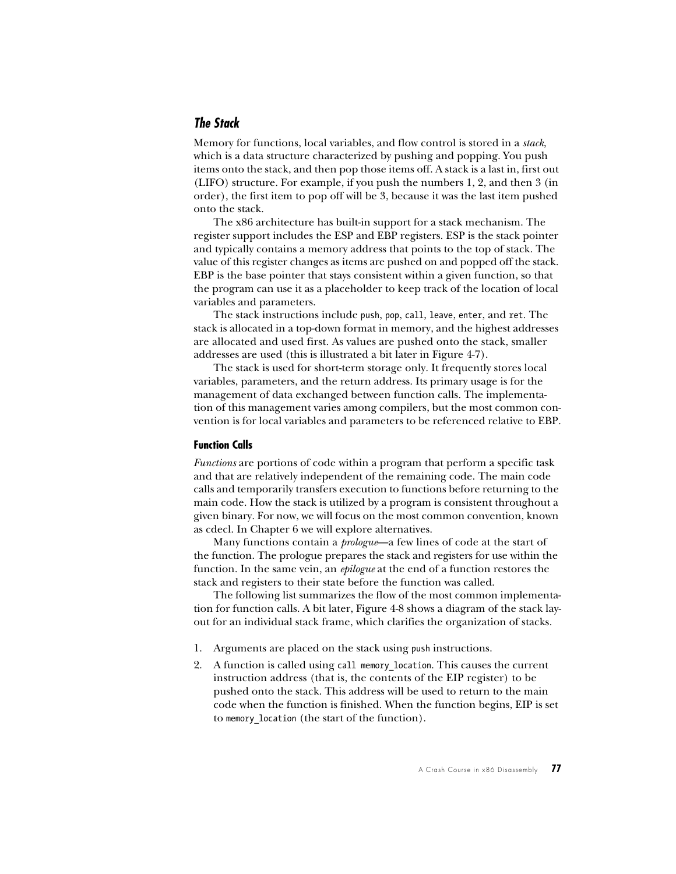## *The Stack*

Memory for functions, local variables, and flow control is stored in a *stack*, which is a data structure characterized by pushing and popping. You push items onto the stack, and then pop those items off. A stack is a last in, first out (LIFO) structure. For example, if you push the numbers 1, 2, and then 3 (in order), the first item to pop off will be 3, because it was the last item pushed onto the stack.

The x86 architecture has built-in support for a stack mechanism. The register support includes the ESP and EBP registers. ESP is the stack pointer and typically contains a memory address that points to the top of stack. The value of this register changes as items are pushed on and popped off the stack. EBP is the base pointer that stays consistent within a given function, so that the program can use it as a placeholder to keep track of the location of local variables and parameters.

The stack instructions include push, pop, call, leave, enter, and ret. The stack is allocated in a top-down format in memory, and the highest addresses are allocated and used first. As values are pushed onto the stack, smaller addresses are used (this is illustrated a bit later in Figure 4-7).

The stack is used for short-term storage only. It frequently stores local variables, parameters, and the return address. Its primary usage is for the management of data exchanged between function calls. The implementation of this management varies among compilers, but the most common convention is for local variables and parameters to be referenced relative to EBP.

#### **Function Calls**

*Functions* are portions of code within a program that perform a specific task and that are relatively independent of the remaining code. The main code calls and temporarily transfers execution to functions before returning to the main code. How the stack is utilized by a program is consistent throughout a given binary. For now, we will focus on the most common convention, known as cdecl. In Chapter 6 we will explore alternatives.

Many functions contain a *prologue*—a few lines of code at the start of the function. The prologue prepares the stack and registers for use within the function. In the same vein, an *epilogue* at the end of a function restores the stack and registers to their state before the function was called.

The following list summarizes the flow of the most common implementation for function calls. A bit later, Figure 4-8 shows a diagram of the stack layout for an individual stack frame, which clarifies the organization of stacks.

- 1. Arguments are placed on the stack using push instructions.
- 2. A function is called using call memory location. This causes the current instruction address (that is, the contents of the EIP register) to be pushed onto the stack. This address will be used to return to the main code when the function is finished. When the function begins, EIP is set to memory\_location (the start of the function).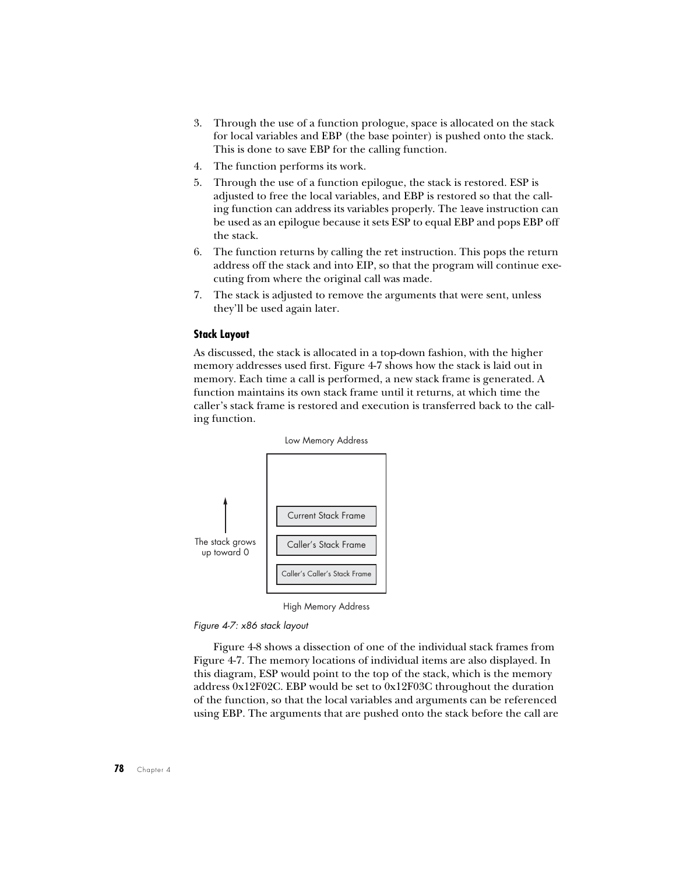- 3. Through the use of a function prologue, space is allocated on the stack for local variables and EBP (the base pointer) is pushed onto the stack. This is done to save EBP for the calling function.
- 4. The function performs its work.
- 5. Through the use of a function epilogue, the stack is restored. ESP is adjusted to free the local variables, and EBP is restored so that the calling function can address its variables properly. The leave instruction can be used as an epilogue because it sets ESP to equal EBP and pops EBP off the stack.
- 6. The function returns by calling the ret instruction. This pops the return address off the stack and into EIP, so that the program will continue executing from where the original call was made.
- 7. The stack is adjusted to remove the arguments that were sent, unless they'll be used again later.

### **Stack Layout**

As discussed, the stack is allocated in a top-down fashion, with the higher memory addresses used first. Figure 4-7 shows how the stack is laid out in memory. Each time a call is performed, a new stack frame is generated. A function maintains its own stack frame until it returns, at which time the caller's stack frame is restored and execution is transferred back to the calling function.





#### *Figure 4-7: x86 stack layout*

Figure 4-8 shows a dissection of one of the individual stack frames from Figure 4-7. The memory locations of individual items are also displayed. In this diagram, ESP would point to the top of the stack, which is the memory address 0x12F02C. EBP would be set to 0x12F03C throughout the duration of the function, so that the local variables and arguments can be referenced using EBP. The arguments that are pushed onto the stack before the call are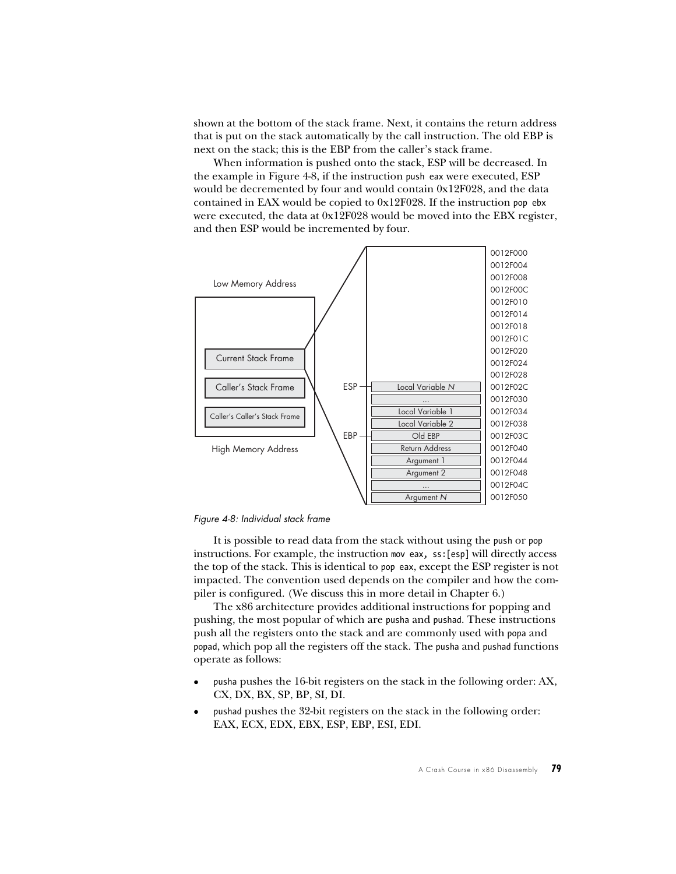shown at the bottom of the stack frame. Next, it contains the return address that is put on the stack automatically by the call instruction. The old EBP is next on the stack; this is the EBP from the caller's stack frame.

When information is pushed onto the stack, ESP will be decreased. In the example in Figure 4-8, if the instruction push eax were executed, ESP would be decremented by four and would contain 0x12F028, and the data contained in EAX would be copied to 0x12F028. If the instruction pop ebx were executed, the data at 0x12F028 would be moved into the EBX register, and then ESP would be incremented by four.



*Figure 4-8: Individual stack frame*

It is possible to read data from the stack without using the push or pop instructions. For example, the instruction mov eax, ss:[esp] will directly access the top of the stack. This is identical to pop eax, except the ESP register is not impacted. The convention used depends on the compiler and how the compiler is configured. (We discuss this in more detail in Chapter 6.)

The x86 architecture provides additional instructions for popping and pushing, the most popular of which are pusha and pushad. These instructions push all the registers onto the stack and are commonly used with popa and popad, which pop all the registers off the stack. The pusha and pushad functions operate as follows:

- pusha pushes the 16-bit registers on the stack in the following order: AX, CX, DX, BX, SP, BP, SI, DI.
- pushad pushes the 32-bit registers on the stack in the following order: EAX, ECX, EDX, EBX, ESP, EBP, ESI, EDI.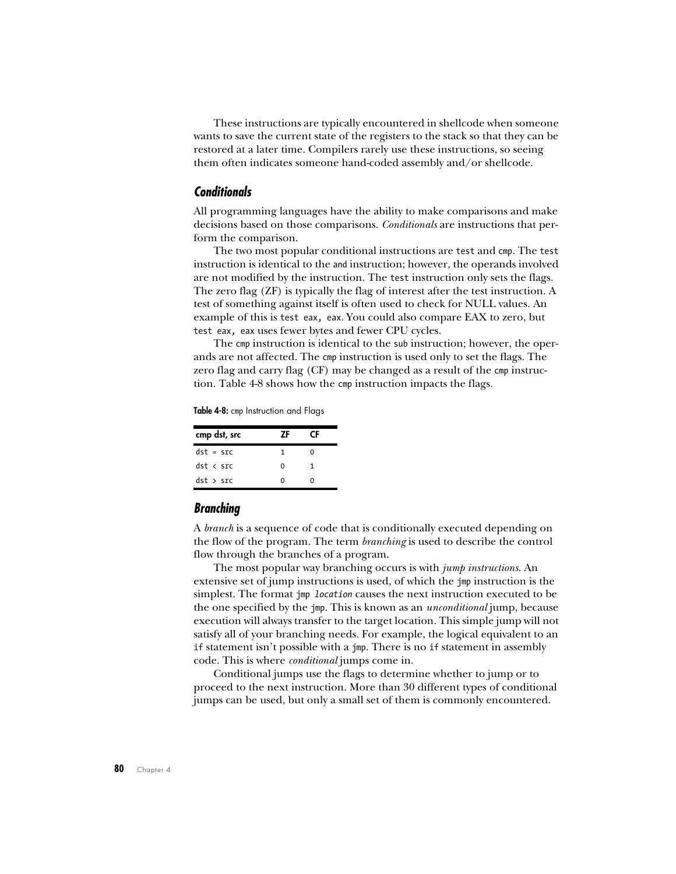These instructions are typically encountered in shellcode when someone wants to save the current state of the registers to the stack so that they can be restored at a later time. Compilers rarely use these instructions, so seeing them often indicates someone hand-coded assembly and/or shellcode.

#### *Conditionals*

All programming languages have the ability to make comparisons and make decisions based on those comparisons. *Conditionals* are instructions that perform the comparison.

The two most popular conditional instructions are test and cmp. The test instruction is identical to the and instruction; however, the operands involved are not modified by the instruction. The test instruction only sets the flags. The zero flag (ZF) is typically the flag of interest after the test instruction. A test of something against itself is often used to check for NULL values. An example of this is test eax, eax. You could also compare EAX to zero, but test eax, eax uses fewer bytes and fewer CPU cycles.

The cmp instruction is identical to the sub instruction; however, the operands are not affected. The cmp instruction is used only to set the flags. The zero flag and carry flag (CF) may be changed as a result of the cmp instruction. Table 4-8 shows how the cmp instruction impacts the flags.

**Table 4-8:** cmp Instruction and Flags

| cmp dst, src | 7F | ПF |
|--------------|----|----|
| $dst = src$  | 1  |    |
| dst < src    | n  | 1  |
| dst > src    | n  |    |

## *Branching*

A *branch* is a sequence of code that is conditionally executed depending on the flow of the program. The term *branching* is used to describe the control flow through the branches of a program.

The most popular way branching occurs is with *jump instructions*. An extensive set of jump instructions is used, of which the jmp instruction is the simplest. The format jmp *location* causes the next instruction executed to be the one specified by the jmp. This is known as an *unconditional* jump, because execution will always transfer to the target location. This simple jump will not satisfy all of your branching needs. For example, the logical equivalent to an if statement isn't possible with a jmp. There is no if statement in assembly code. This is where *conditional* jumps come in.

Conditional jumps use the flags to determine whether to jump or to proceed to the next instruction. More than 30 different types of conditional jumps can be used, but only a small set of them is commonly encountered.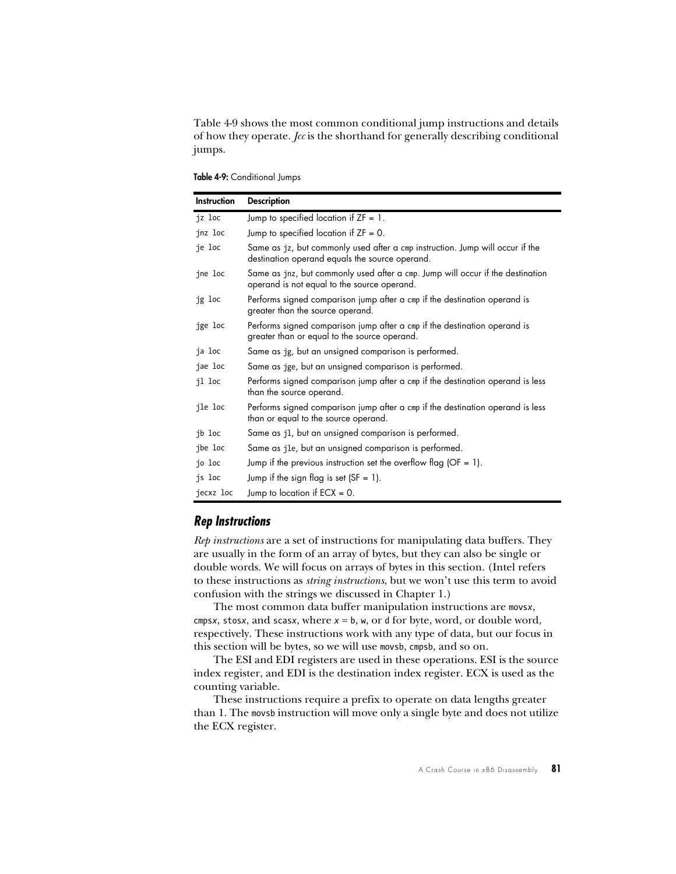Table 4-9 shows the most common conditional jump instructions and details of how they operate. *Jcc* is the shorthand for generally describing conditional jumps.

**Table 4-9:** Conditional Jumps

| <b>Instruction</b> | <b>Description</b>                                                                                                              |
|--------------------|---------------------------------------------------------------------------------------------------------------------------------|
| jz loc             | Jump to specified location if $ZF = 1$ .                                                                                        |
| jnz loc            | Jump to specified location if $ZF = 0$ .                                                                                        |
| je loc             | Same as jz, but commonly used after a cmp instruction. Jump will occur if the<br>destination operand equals the source operand. |
| jne loc            | Same as jnz, but commonly used after a cmp. Jump will occur if the destination<br>operand is not equal to the source operand.   |
| jg loc             | Performs signed comparison jump after a cmp if the destination operand is<br>greater than the source operand.                   |
| jge loc            | Performs signed comparison jump after a cmp if the destination operand is<br>greater than or equal to the source operand.       |
| ja loc             | Same as jg, but an unsigned comparison is performed.                                                                            |
| jae loc            | Same as jge, but an unsigned comparison is performed.                                                                           |
| il loc             | Performs signed comparison jump after a cmp if the destination operand is less<br>than the source operand.                      |
| jle loc            | Performs signed comparison jump after a cmp if the destination operand is less<br>than or equal to the source operand.          |
| jb loc             | Same as j1, but an unsigned comparison is performed.                                                                            |
| jbe loc            | Same as jle, but an unsigned comparison is performed.                                                                           |
| jo loc             | Jump if the previous instruction set the overflow flag (OF = 1).                                                                |
| js loc             | Jump if the sign flag is set (SF = $1$ ).                                                                                       |
| jecxz loc          | Jump to location if $ECX = 0$ .                                                                                                 |

## *Rep Instructions*

*Rep instructions* are a set of instructions for manipulating data buffers. They are usually in the form of an array of bytes, but they can also be single or double words. We will focus on arrays of bytes in this section. (Intel refers to these instructions as *string instructions*, but we won't use this term to avoid confusion with the strings we discussed in Chapter 1.)

The most common data buffer manipulation instructions are movs*x*, cmps*x*, stos*x*, and scas*x*, where *x* = b, w, or d for byte, word, or double word, respectively. These instructions work with any type of data, but our focus in this section will be bytes, so we will use movsb, cmpsb, and so on.

The ESI and EDI registers are used in these operations. ESI is the source index register, and EDI is the destination index register. ECX is used as the counting variable.

These instructions require a prefix to operate on data lengths greater than 1. The movsb instruction will move only a single byte and does not utilize the ECX register.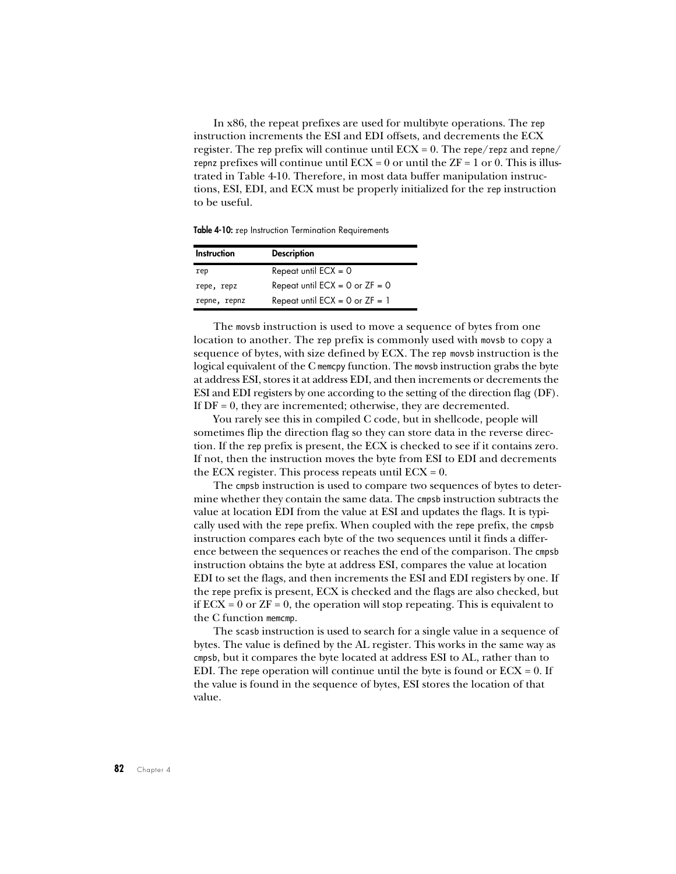In x86, the repeat prefixes are used for multibyte operations. The rep instruction increments the ESI and EDI offsets, and decrements the ECX register. The rep prefix will continue until  $ECX = 0$ . The repe/repz and repne/ repnz prefixes will continue until  $\text{ECX} = 0$  or until the  $\text{ZF} = 1$  or 0. This is illustrated in Table 4-10. Therefore, in most data buffer manipulation instructions, ESI, EDI, and ECX must be properly initialized for the rep instruction to be useful.

**Table 4-10:** rep Instruction Termination Requirements

| Instruction  | <b>Description</b>                 |
|--------------|------------------------------------|
| rep          | Repeat until $ECX = 0$             |
| repe, repz   | Repeat until $ECX = 0$ or $ZF = 0$ |
| repne, repnz | Repeat until $ECX = 0$ or $ZF = 1$ |

The movsb instruction is used to move a sequence of bytes from one location to another. The rep prefix is commonly used with movsb to copy a sequence of bytes, with size defined by ECX. The rep movsb instruction is the logical equivalent of the C memcpy function. The movsb instruction grabs the byte at address ESI, stores it at address EDI, and then increments or decrements the ESI and EDI registers by one according to the setting of the direction flag (DF). If  $DF = 0$ , they are incremented; otherwise, they are decremented.

You rarely see this in compiled C code, but in shellcode, people will sometimes flip the direction flag so they can store data in the reverse direction. If the rep prefix is present, the ECX is checked to see if it contains zero. If not, then the instruction moves the byte from ESI to EDI and decrements the ECX register. This process repeats until  $ECX = 0$ .

The cmpsb instruction is used to compare two sequences of bytes to determine whether they contain the same data. The cmpsb instruction subtracts the value at location EDI from the value at ESI and updates the flags. It is typically used with the repe prefix. When coupled with the repe prefix, the cmpsb instruction compares each byte of the two sequences until it finds a difference between the sequences or reaches the end of the comparison. The cmpsb instruction obtains the byte at address ESI, compares the value at location EDI to set the flags, and then increments the ESI and EDI registers by one. If the repe prefix is present, ECX is checked and the flags are also checked, but if  $ECX = 0$  or  $ZF = 0$ , the operation will stop repeating. This is equivalent to the C function memcmp.

The scasb instruction is used to search for a single value in a sequence of bytes. The value is defined by the AL register. This works in the same way as cmpsb, but it compares the byte located at address ESI to AL, rather than to EDI. The repe operation will continue until the byte is found or  $ECX = 0$ . If the value is found in the sequence of bytes, ESI stores the location of that value.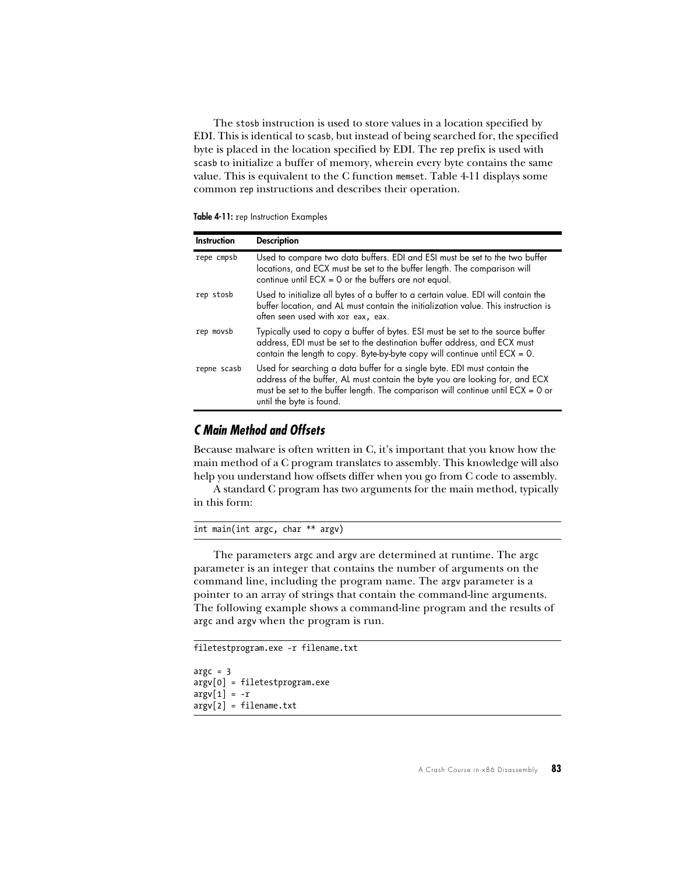The stosb instruction is used to store values in a location specified by EDI. This is identical to scasb, but instead of being searched for, the specified byte is placed in the location specified by EDI. The rep prefix is used with scasb to initialize a buffer of memory, wherein every byte contains the same value. This is equivalent to the C function memset. Table 4-11 displays some common rep instructions and describes their operation.

| Table 4-11: rep Instruction Examples |  |
|--------------------------------------|--|
|--------------------------------------|--|

| Instruction | <b>Description</b>                                                                                                                                                                                                                                                      |
|-------------|-------------------------------------------------------------------------------------------------------------------------------------------------------------------------------------------------------------------------------------------------------------------------|
| repe cmpsb  | Used to compare two data buffers. EDI and ESI must be set to the two buffer<br>locations, and ECX must be set to the buffer length. The comparison will<br>continue until $ECX = 0$ or the buffers are not equal.                                                       |
| rep stosb   | Used to initialize all bytes of a buffer to a certain value. EDI will contain the<br>buffer location, and AL must contain the initialization value. This instruction is<br>often seen used with xor eax, eax.                                                           |
| rep movsb   | Typically used to copy a buffer of bytes. ESI must be set to the source buffer<br>address, EDI must be set to the destination buffer address, and ECX must<br>contain the length to copy. Byte-by-byte copy will continue until $ECX = 0$ .                             |
| repne scasb | Used for searching a data buffer for a single byte. EDI must contain the<br>address of the buffer, AL must contain the byte you are looking for, and ECX<br>must be set to the buffer length. The comparison will continue until ECX = 0 or<br>until the byte is found. |

## *C Main Method and Offsets*

Because malware is often written in C, it's important that you know how the main method of a C program translates to assembly. This knowledge will also help you understand how offsets differ when you go from C code to assembly.

A standard C program has two arguments for the main method, typically in this form:

```
int main(int argc, char ** argv)
```
The parameters argc and argv are determined at runtime. The argc parameter is an integer that contains the number of arguments on the command line, including the program name. The argv parameter is a pointer to an array of strings that contain the command-line arguments. The following example shows a command-line program and the results of argc and argv when the program is run.

```
filetestprogram.exe -r filename.txt
```

```
argc = 3argv[0] = filetestprogram.exe
argv[1] = -rargv[2] = filename.txt
```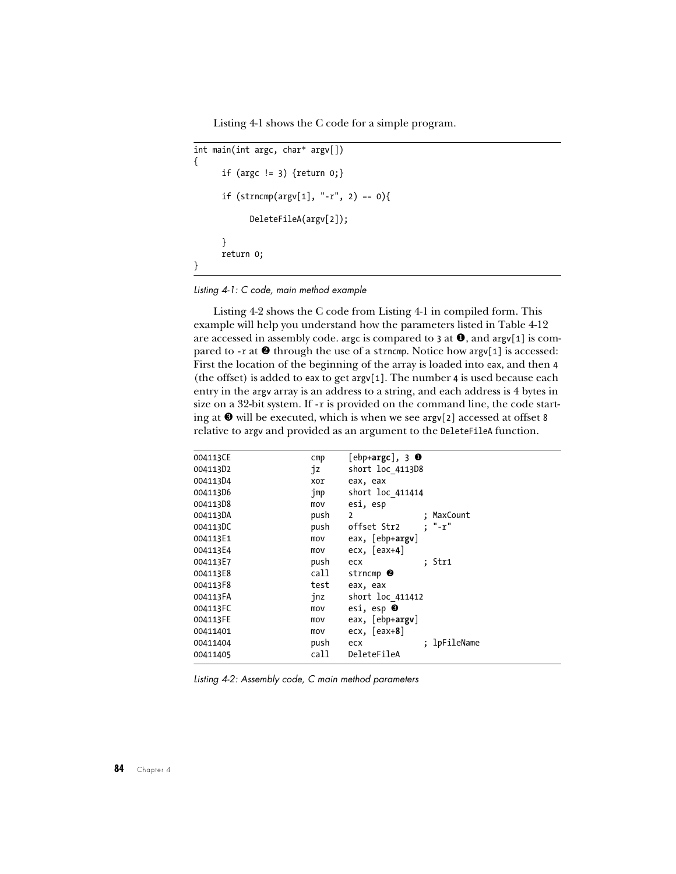Listing 4-1 shows the C code for a simple program.

```
int main(int argc, char* argv[])
{
       if (argc != 3) {return 0;}
      if (strnew[1], " -r", 2) == 0){
             DeleteFileA(argv[2]);
       }
       return 0;
}
```
*Listing 4-1: C code, main method example*

Listing 4-2 shows the C code from Listing 4-1 in compiled form. This example will help you understand how the parameters listed in Table 4-12 are accessed in assembly code. argc is compared to 3 at  $\bullet$ , and argv[1] is compared to -r at  $\bullet$  through the use of a strncmp. Notice how argv[1] is accessed: First the location of the beginning of the array is loaded into eax, and then 4 (the offset) is added to eax to get argv[1]. The number 4 is used because each entry in the argv array is an address to a string, and each address is 4 bytes in size on a 32-bit system. If -r is provided on the command line, the code starting at  $\bullet$  will be executed, which is when we see argv[2] accessed at offset 8 relative to argv and provided as an argument to the DeleteFileA function.

| 004113CE | cmp  | $[ebp+arge], 3$ $\bullet$    |
|----------|------|------------------------------|
| 004113D2 | jz   | short loc 4113D8             |
| 004113D4 | xor  | eax, eax                     |
| 004113D6 | jmp  | short loc 411414             |
| 004113D8 | mov  | esi, esp                     |
| 004113DA | push | ; MaxCount<br>$\overline{2}$ |
| 004113DC | push | $: " - r"$<br>offset Str2    |
| 004113E1 | mov  | eax, $[ebp+argv]$            |
| 004113E4 | mov  | $ex, [eax+4]$                |
| 004113E7 | push | ; Str1<br>ecx                |
| 004113E8 | call | strncmp <sup>@</sup>         |
| 004113F8 | test | eax, eax                     |
| 004113FA | jnz  | short loc 411412             |
| 004113FC | mov  | esi, esp $\Theta$            |
| 004113FE | mov  | eax, $[ebp+argv]$            |
| 00411401 | mov  | $exc, [eax+8]$               |
| 00411404 | push | ; lpFileName<br>ecx          |
| 00411405 | call | DeleteFileA                  |
|          |      |                              |

*Listing 4-2: Assembly code, C main method parameters*